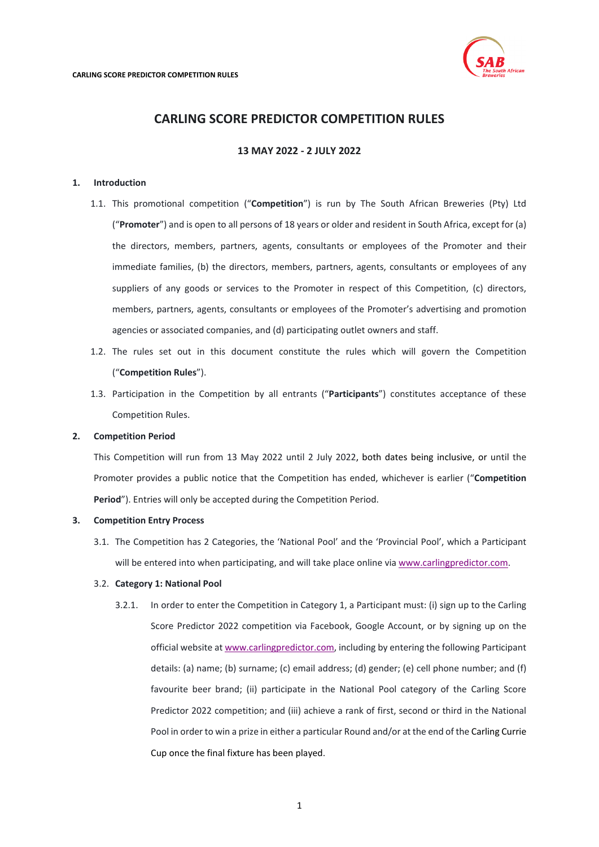

# **CARLING SCORE PREDICTOR COMPETITION RULES**

# **13 MAY 2022 - 2 JULY 2022**

## **1. Introduction**

- 1.1. This promotional competition ("**Competition**") is run by The South African Breweries (Pty) Ltd ("**Promoter**") and is open to all persons of 18 years or older and resident in South Africa, except for (a) the directors, members, partners, agents, consultants or employees of the Promoter and their immediate families, (b) the directors, members, partners, agents, consultants or employees of any suppliers of any goods or services to the Promoter in respect of this Competition, (c) directors, members, partners, agents, consultants or employees of the Promoter's advertising and promotion agencies or associated companies, and (d) participating outlet owners and staff.
- 1.2. The rules set out in this document constitute the rules which will govern the Competition ("**Competition Rules**").
- 1.3. Participation in the Competition by all entrants ("**Participants**") constitutes acceptance of these Competition Rules.

# **2. Competition Period**

This Competition will run from 13 May 2022 until 2 July 2022, both dates being inclusive, or until the Promoter provides a public notice that the Competition has ended, whichever is earlier ("**Competition Period**"). Entries will only be accepted during the Competition Period.

#### **3. Competition Entry Process**

3.1. The Competition has 2 Categories, the 'National Pool' and the 'Provincial Pool', which a Participant will be entered into when participating, and will take place online vi[a www.carlingpredictor.com.](http://www.carlingpredictor.com/)

#### <span id="page-0-0"></span>3.2. **Category 1: National Pool**

3.2.1. In order to enter the Competition in Category 1, a Participant must: (i) sign up to the Carling Score Predictor 2022 competition via Facebook, Google Account, or by signing up on the official website a[t www.carlingpredictor.com,](http://www.carlingpredictor.com/) including by entering the following Participant details: (a) name; (b) surname; (c) email address; (d) gender; (e) cell phone number; and (f) favourite beer brand; (ii) participate in the National Pool category of the Carling Score Predictor 2022 competition; and (iii) achieve a rank of first, second or third in the National Pool in order to win a prize in either a particular Round and/or at the end of the Carling Currie Cup once the final fixture has been played.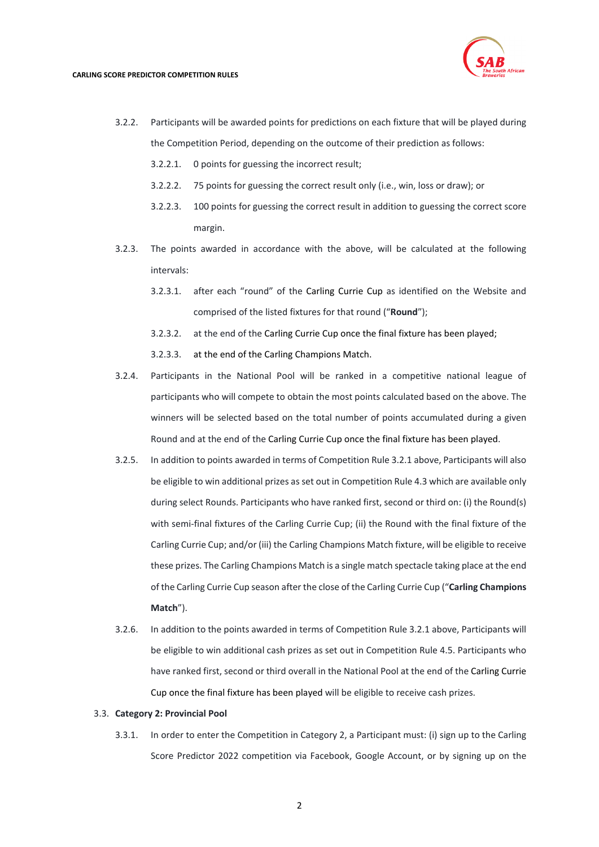

- 3.2.2. Participants will be awarded points for predictions on each fixture that will be played during the Competition Period, depending on the outcome of their prediction as follows:
	- 3.2.2.1. 0 points for guessing the incorrect result;
	- 3.2.2.2. 75 points for guessing the correct result only (i.e., win, loss or draw); or
	- 3.2.2.3. 100 points for guessing the correct result in addition to guessing the correct score margin.
- 3.2.3. The points awarded in accordance with the above, will be calculated at the following intervals:
	- 3.2.3.1. after each "round" of the Carling Currie Cup as identified on the Website and comprised of the listed fixtures for that round ("**Round**");
	- 3.2.3.2. at the end of the Carling Currie Cup once the final fixture has been played;
	- 3.2.3.3. at the end of the Carling Champions Match.
- 3.2.4. Participants in the National Pool will be ranked in a competitive national league of participants who will compete to obtain the most points calculated based on the above. The winners will be selected based on the total number of points accumulated during a given Round and at the end of the Carling Currie Cup once the final fixture has been played.
- 3.2.5. In addition to points awarded in terms of Competition Rul[e 3.2.1](#page-0-0) above, Participants will also be eligible to win additional prizes as set out in Competition Rul[e 4.3](#page-3-0) which are available only during select Rounds. Participants who have ranked first, second or third on: (i) the Round(s) with semi-final fixtures of the Carling Currie Cup; (ii) the Round with the final fixture of the Carling Currie Cup; and/or (iii) the Carling Champions Match fixture, will be eligible to receive these prizes. The Carling Champions Match is a single match spectacle taking place at the end of the Carling Currie Cup season after the close of the Carling Currie Cup ("**Carling Champions Match**").
- 3.2.6. In addition to the points awarded in terms of Competition Rule [3.2.1](#page-0-0) above, Participants will be eligible to win additional cash prizes as set out in Competition Rul[e 4.5.](#page-4-0) Participants who have ranked first, second or third overall in the National Pool at the end of the Carling Currie Cup once the final fixture has been played will be eligible to receive cash prizes.

#### 3.3. **Category 2: Provincial Pool**

3.3.1. In order to enter the Competition in Category 2, a Participant must: (i) sign up to the Carling Score Predictor 2022 competition via Facebook, Google Account, or by signing up on the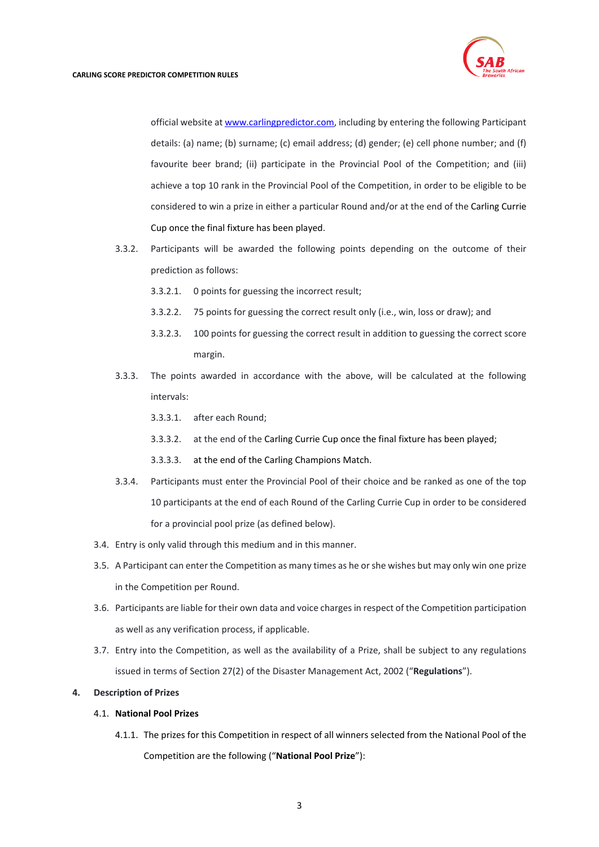

official website a[t www.carlingpredictor.com,](http://www.carlingpredictor.com/) including by entering the following Participant details: (a) name; (b) surname; (c) email address; (d) gender; (e) cell phone number; and (f) favourite beer brand; (ii) participate in the Provincial Pool of the Competition; and (iii) achieve a top 10 rank in the Provincial Pool of the Competition, in order to be eligible to be considered to win a prize in either a particular Round and/or at the end of the Carling Currie Cup once the final fixture has been played.

- 3.3.2. Participants will be awarded the following points depending on the outcome of their prediction as follows:
	- 3.3.2.1. 0 points for guessing the incorrect result;
	- 3.3.2.2. 75 points for guessing the correct result only (i.e., win, loss or draw); and
	- 3.3.2.3. 100 points for guessing the correct result in addition to guessing the correct score margin.
- 3.3.3. The points awarded in accordance with the above, will be calculated at the following intervals:
	- 3.3.3.1. after each Round;
	- 3.3.3.2. at the end of the Carling Currie Cup once the final fixture has been played;
	- 3.3.3.3. at the end of the Carling Champions Match.
- 3.3.4. Participants must enter the Provincial Pool of their choice and be ranked as one of the top 10 participants at the end of each Round of the Carling Currie Cup in order to be considered for a provincial pool prize (as defined below).
- 3.4. Entry is only valid through this medium and in this manner.
- 3.5. A Participant can enter the Competition as many times as he or she wishes but may only win one prize in the Competition per Round.
- 3.6. Participants are liable for their own data and voice charges in respect of the Competition participation as well as any verification process, if applicable.
- 3.7. Entry into the Competition, as well as the availability of a Prize, shall be subject to any regulations issued in terms of Section 27(2) of the Disaster Management Act, 2002 ("**Regulations**").

#### **4. Description of Prizes**

#### 4.1. **National Pool Prizes**

4.1.1. The prizes for this Competition in respect of all winners selected from the National Pool of the Competition are the following ("**National Pool Prize**"):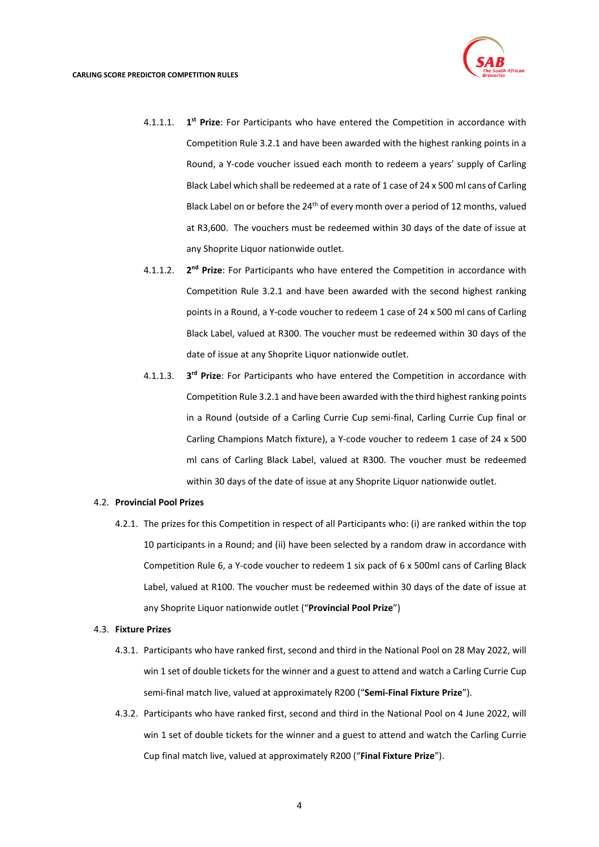

- 4.1.1.1. **1st Prize**: For Participants who have entered the Competition in accordance with Competition Rul[e 3.2.1](#page-0-0) and have been awarded with the highest ranking points in a Round, a Y-code voucher issued each month to redeem a years' supply of Carling Black Label which shall be redeemed at a rate of 1 case of 24 x 500 ml cans of Carling Black Label on or before the  $24<sup>th</sup>$  of every month over a period of 12 months, valued at R3,600. The vouchers must be redeemed within 30 days of the date of issue at any Shoprite Liquor nationwide outlet.
- 4.1.1.2. **2nd Prize**: For Participants who have entered the Competition in accordance with Competition Rule [3.2.1](#page-0-0) and have been awarded with the second highest ranking points in a Round, a Y-code voucher to redeem 1 case of 24 x 500 ml cans of Carling Black Label, valued at R300. The voucher must be redeemed within 30 days of the date of issue at any Shoprite Liquor nationwide outlet.
- 4.1.1.3. **3rd Prize**: For Participants who have entered the Competition in accordance with Competition Rul[e 3.2.1](#page-0-0) and have been awarded with the third highest ranking points in a Round (outside of a Carling Currie Cup semi-final, Carling Currie Cup final or Carling Champions Match fixture), a Y-code voucher to redeem 1 case of 24 x 500 ml cans of Carling Black Label, valued at R300. The voucher must be redeemed within 30 days of the date of issue at any Shoprite Liquor nationwide outlet.

### 4.2. **Provincial Pool Prizes**

4.2.1. The prizes for this Competition in respect of all Participants who: (i) are ranked within the top 10 participants in a Round; and (ii) have been selected by a random draw in accordance with Competition Rul[e 6,](#page-6-0) a Y-code voucher to redeem 1 six pack of 6 x 500ml cans of Carling Black Label, valued at R100. The voucher must be redeemed within 30 days of the date of issue at any Shoprite Liquor nationwide outlet ("**Provincial Pool Prize**")

#### <span id="page-3-0"></span>4.3. **Fixture Prizes**

- 4.3.1. Participants who have ranked first, second and third in the National Pool on 28 May 2022, will win 1 set of double tickets for the winner and a guest to attend and watch a Carling Currie Cup semi-final match live, valued at approximately R200 ("**Semi-Final Fixture Prize**").
- 4.3.2. Participants who have ranked first, second and third in the National Pool on 4 June 2022, will win 1 set of double tickets for the winner and a guest to attend and watch the Carling Currie Cup final match live, valued at approximately R200 ("**Final Fixture Prize**").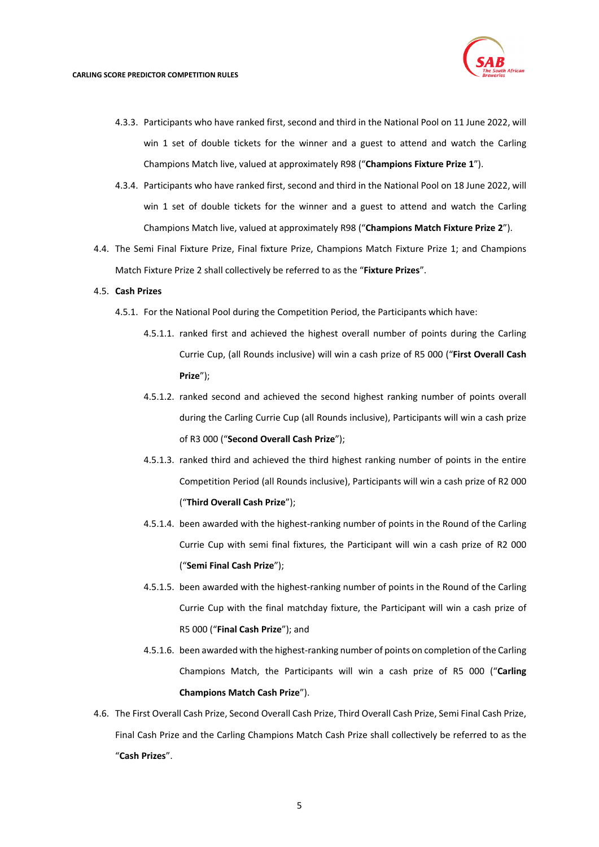

- 4.3.3. Participants who have ranked first, second and third in the National Pool on 11 June 2022, will win 1 set of double tickets for the winner and a guest to attend and watch the Carling Champions Match live, valued at approximately R98 ("**Champions Fixture Prize 1**").
- 4.3.4. Participants who have ranked first, second and third in the National Pool on 18 June 2022, will win 1 set of double tickets for the winner and a guest to attend and watch the Carling Champions Match live, valued at approximately R98 ("**Champions Match Fixture Prize 2**").
- 4.4. The Semi Final Fixture Prize, Final fixture Prize, Champions Match Fixture Prize 1; and Champions Match Fixture Prize 2 shall collectively be referred to as the "**Fixture Prizes**".

## <span id="page-4-0"></span>4.5. **Cash Prizes**

- 4.5.1. For the National Pool during the Competition Period, the Participants which have:
	- 4.5.1.1. ranked first and achieved the highest overall number of points during the Carling Currie Cup, (all Rounds inclusive) will win a cash prize of R5 000 ("**First Overall Cash Prize**");
	- 4.5.1.2. ranked second and achieved the second highest ranking number of points overall during the Carling Currie Cup (all Rounds inclusive), Participants will win a cash prize of R3 000 ("**Second Overall Cash Prize**");
	- 4.5.1.3. ranked third and achieved the third highest ranking number of points in the entire Competition Period (all Rounds inclusive), Participants will win a cash prize of R2 000 ("**Third Overall Cash Prize**");
	- 4.5.1.4. been awarded with the highest-ranking number of points in the Round of the Carling Currie Cup with semi final fixtures, the Participant will win a cash prize of R2 000 ("**Semi Final Cash Prize**");
	- 4.5.1.5. been awarded with the highest-ranking number of points in the Round of the Carling Currie Cup with the final matchday fixture, the Participant will win a cash prize of R5 000 ("**Final Cash Prize**"); and
	- 4.5.1.6. been awarded with the highest-ranking number of points on completion of the Carling Champions Match, the Participants will win a cash prize of R5 000 ("**Carling Champions Match Cash Prize**").
- 4.6. The First Overall Cash Prize, Second Overall Cash Prize, Third Overall Cash Prize, Semi Final Cash Prize, Final Cash Prize and the Carling Champions Match Cash Prize shall collectively be referred to as the "**Cash Prizes**".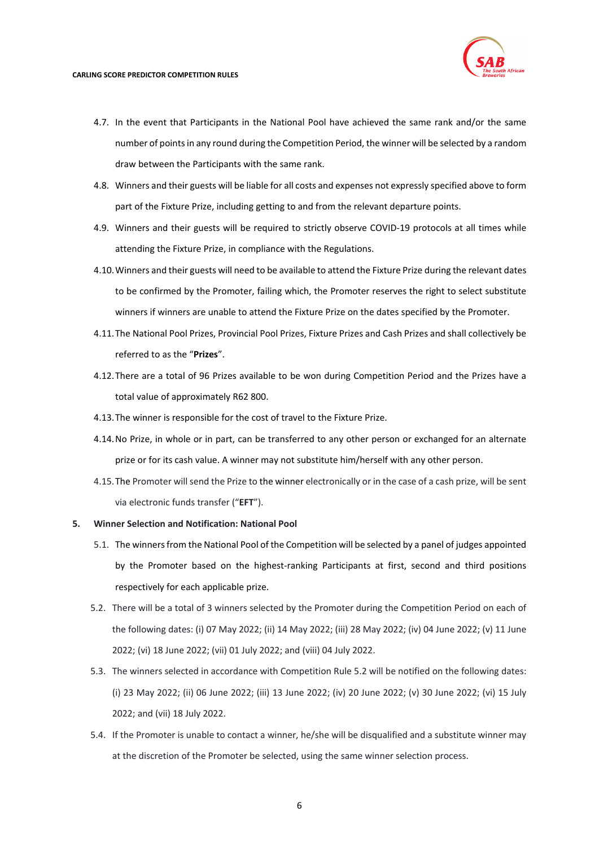- 4.7. In the event that Participants in the National Pool have achieved the same rank and/or the same number of points in any round during the Competition Period, the winner will be selected by a random draw between the Participants with the same rank.
- 4.8. Winners and their guests will be liable for all costs and expenses not expressly specified above to form part of the Fixture Prize, including getting to and from the relevant departure points.
- 4.9. Winners and their guests will be required to strictly observe COVID-19 protocols at all times while attending the Fixture Prize, in compliance with the Regulations.
- 4.10.Winners and their guests will need to be available to attend the Fixture Prize during the relevant dates to be confirmed by the Promoter, failing which, the Promoter reserves the right to select substitute winners if winners are unable to attend the Fixture Prize on the dates specified by the Promoter.
- 4.11.The National Pool Prizes, Provincial Pool Prizes, Fixture Prizes and Cash Prizes and shall collectively be referred to as the "**Prizes**".
- 4.12.There are a total of 96 Prizes available to be won during Competition Period and the Prizes have a total value of approximately R62 800.
- 4.13.The winner is responsible for the cost of travel to the Fixture Prize.
- 4.14.No Prize, in whole or in part, can be transferred to any other person or exchanged for an alternate prize or for its cash value. A winner may not substitute him/herself with any other person.
- 4.15.The Promoter will send the Prize to the winner electronically or in the case of a cash prize, will be sent via electronic funds transfer ("**EFT**").
- <span id="page-5-0"></span>**5. Winner Selection and Notification: National Pool**
	- 5.1. The winners from the National Pool of the Competition will be selected by a panel of judges appointed by the Promoter based on the highest-ranking Participants at first, second and third positions respectively for each applicable prize.
	- 5.2. There will be a total of 3 winners selected by the Promoter during the Competition Period on each of the following dates: (i) 07 May 2022; (ii) 14 May 2022; (iii) 28 May 2022; (iv) 04 June 2022; (v) 11 June 2022; (vi) 18 June 2022; (vii) 01 July 2022; and (viii) 04 July 2022.
	- 5.3. The winners selected in accordance with Competition Rule [5.2](#page-5-0) will be notified on the following dates: (i) 23 May 2022; (ii) 06 June 2022; (iii) 13 June 2022; (iv) 20 June 2022; (v) 30 June 2022; (vi) 15 July 2022; and (vii) 18 July 2022.
	- 5.4. If the Promoter is unable to contact a winner, he/she will be disqualified and a substitute winner may at the discretion of the Promoter be selected, using the same winner selection process.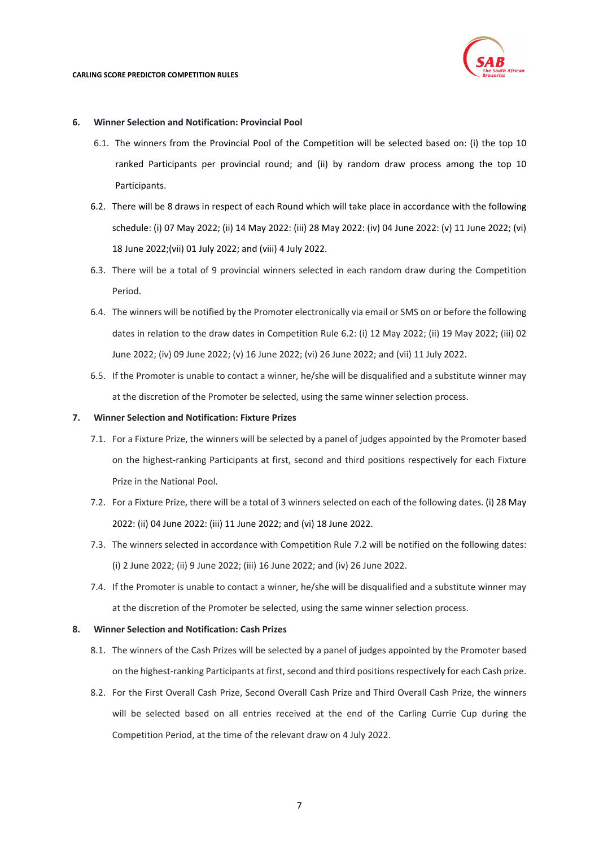

## <span id="page-6-0"></span>**6. Winner Selection and Notification: Provincial Pool**

- 6.1. The winners from the Provincial Pool of the Competition will be selected based on: (i) the top 10 ranked Participants per provincial round; and (ii) by random draw process among the top 10 Participants.
- <span id="page-6-1"></span>6.2. There will be 8 draws in respect of each Round which will take place in accordance with the following schedule: (i) 07 May 2022; (ii) 14 May 2022: (iii) 28 May 2022: (iv) 04 June 2022: (v) 11 June 2022; (vi) 18 June 2022;(vii) 01 July 2022; and (viii) 4 July 2022.
- 6.3. There will be a total of 9 provincial winners selected in each random draw during the Competition Period.
- 6.4. The winners will be notified by the Promoter electronically via email or SMS on or before the following dates in relation to the draw dates in Competition Rule [6.2:](#page-6-1) (i) 12 May 2022; (ii) 19 May 2022; (iii) 02 June 2022; (iv) 09 June 2022; (v) 16 June 2022; (vi) 26 June 2022; and (vii) 11 July 2022.
- 6.5. If the Promoter is unable to contact a winner, he/she will be disqualified and a substitute winner may at the discretion of the Promoter be selected, using the same winner selection process.

## **7. Winner Selection and Notification: Fixture Prizes**

- 7.1. For a Fixture Prize, the winners will be selected by a panel of judges appointed by the Promoter based on the highest-ranking Participants at first, second and third positions respectively for each Fixture Prize in the National Pool.
- <span id="page-6-2"></span>7.2. For a Fixture Prize, there will be a total of 3 winners selected on each of the following dates. (i) 28 May 2022: (ii) 04 June 2022: (iii) 11 June 2022; and (vi) 18 June 2022.
- 7.3. The winners selected in accordance with Competition Rule [7.2](#page-6-2) will be notified on the following dates: (i) 2 June 2022; (ii) 9 June 2022; (iii) 16 June 2022; and (iv) 26 June 2022.
- 7.4. If the Promoter is unable to contact a winner, he/she will be disqualified and a substitute winner may at the discretion of the Promoter be selected, using the same winner selection process.

# **8. Winner Selection and Notification: Cash Prizes**

- 8.1. The winners of the Cash Prizes will be selected by a panel of judges appointed by the Promoter based on the highest-ranking Participants at first, second and third positions respectively for each Cash prize.
- 8.2. For the First Overall Cash Prize, Second Overall Cash Prize and Third Overall Cash Prize, the winners will be selected based on all entries received at the end of the Carling Currie Cup during the Competition Period, at the time of the relevant draw on 4 July 2022.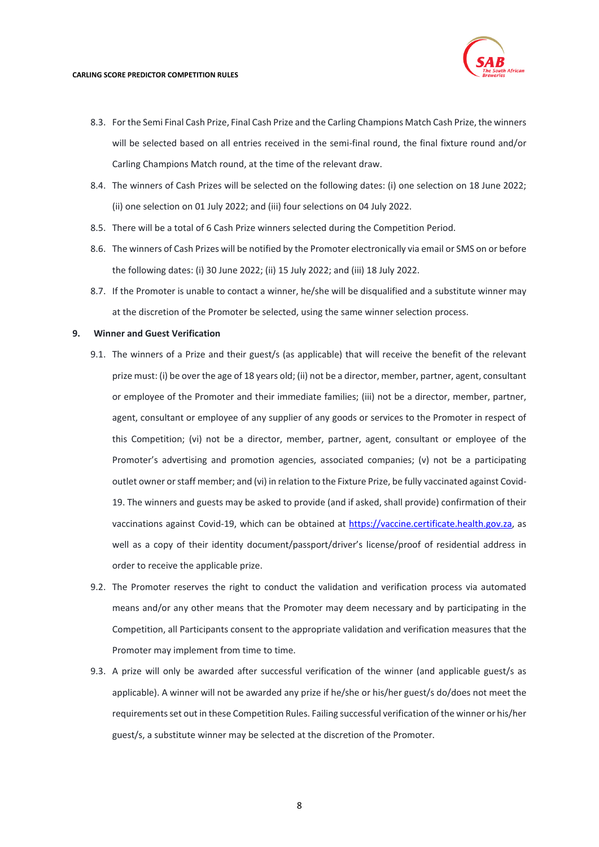

- 8.3. For the Semi Final Cash Prize, Final Cash Prize and the Carling Champions Match Cash Prize, the winners will be selected based on all entries received in the semi-final round, the final fixture round and/or Carling Champions Match round, at the time of the relevant draw.
- 8.4. The winners of Cash Prizes will be selected on the following dates: (i) one selection on 18 June 2022; (ii) one selection on 01 July 2022; and (iii) four selections on 04 July 2022.
- 8.5. There will be a total of 6 Cash Prize winners selected during the Competition Period.
- 8.6. The winners of Cash Prizes will be notified by the Promoter electronically via email or SMS on or before the following dates: (i) 30 June 2022; (ii) 15 July 2022; and (iii) 18 July 2022.
- 8.7. If the Promoter is unable to contact a winner, he/she will be disqualified and a substitute winner may at the discretion of the Promoter be selected, using the same winner selection process.

#### **9. Winner and Guest Verification**

- 9.1. The winners of a Prize and their guest/s (as applicable) that will receive the benefit of the relevant prize must: (i) be over the age of 18 years old; (ii) not be a director, member, partner, agent, consultant or employee of the Promoter and their immediate families; (iii) not be a director, member, partner, agent, consultant or employee of any supplier of any goods or services to the Promoter in respect of this Competition; (vi) not be a director, member, partner, agent, consultant or employee of the Promoter's advertising and promotion agencies, associated companies; (v) not be a participating outlet owner or staff member; and (vi) in relation to the Fixture Prize, be fully vaccinated against Covid-19. The winners and guests may be asked to provide (and if asked, shall provide) confirmation of their vaccinations against Covid-19, which can be obtained at [https://vaccine.certificate.health.gov.za,](https://vaccine.certificate.health.gov.za/) as well as a copy of their identity document/passport/driver's license/proof of residential address in order to receive the applicable prize.
- 9.2. The Promoter reserves the right to conduct the validation and verification process via automated means and/or any other means that the Promoter may deem necessary and by participating in the Competition, all Participants consent to the appropriate validation and verification measures that the Promoter may implement from time to time.
- 9.3. A prize will only be awarded after successful verification of the winner (and applicable guest/s as applicable). A winner will not be awarded any prize if he/she or his/her guest/s do/does not meet the requirements set out in these Competition Rules. Failing successful verification of the winner or his/her guest/s, a substitute winner may be selected at the discretion of the Promoter.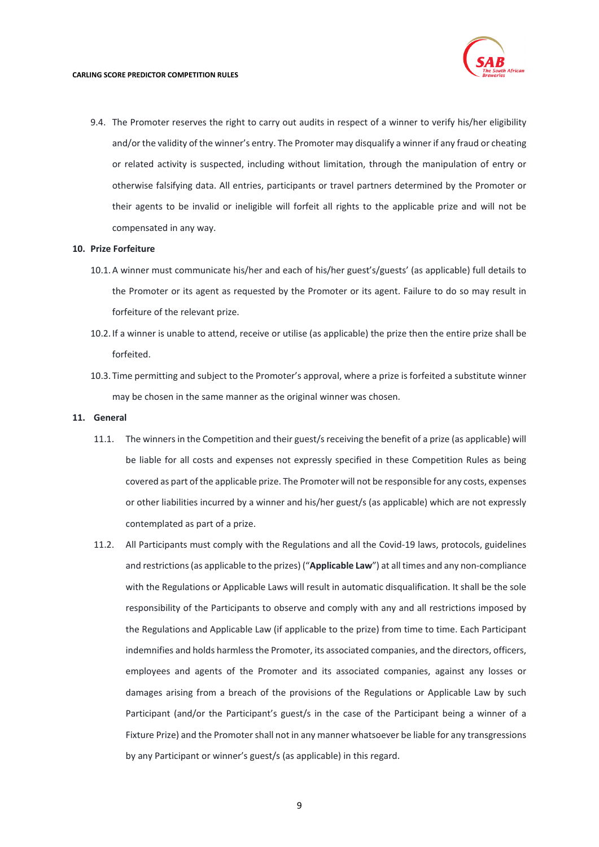

9.4. The Promoter reserves the right to carry out audits in respect of a winner to verify his/her eligibility and/or the validity of the winner's entry. The Promoter may disqualify a winner if any fraud or cheating or related activity is suspected, including without limitation, through the manipulation of entry or otherwise falsifying data. All entries, participants or travel partners determined by the Promoter or their agents to be invalid or ineligible will forfeit all rights to the applicable prize and will not be compensated in any way.

## **10. Prize Forfeiture**

- 10.1.A winner must communicate his/her and each of his/her guest's/guests' (as applicable) full details to the Promoter or its agent as requested by the Promoter or its agent. Failure to do so may result in forfeiture of the relevant prize.
- 10.2. If a winner is unable to attend, receive or utilise (as applicable) the prize then the entire prize shall be forfeited.
- 10.3. Time permitting and subject to the Promoter's approval, where a prize is forfeited a substitute winner may be chosen in the same manner as the original winner was chosen.

#### **11. General**

- 11.1. The winners in the Competition and their guest/s receiving the benefit of a prize (as applicable) will be liable for all costs and expenses not expressly specified in these Competition Rules as being covered as part of the applicable prize. The Promoter will not be responsible for any costs, expenses or other liabilities incurred by a winner and his/her guest/s (as applicable) which are not expressly contemplated as part of a prize.
- 11.2. All Participants must comply with the Regulations and all the Covid-19 laws, protocols, guidelines and restrictions (as applicable to the prizes) ("**Applicable Law**") at all times and any non-compliance with the Regulations or Applicable Laws will result in automatic disqualification. It shall be the sole responsibility of the Participants to observe and comply with any and all restrictions imposed by the Regulations and Applicable Law (if applicable to the prize) from time to time. Each Participant indemnifies and holds harmless the Promoter, its associated companies, and the directors, officers, employees and agents of the Promoter and its associated companies, against any losses or damages arising from a breach of the provisions of the Regulations or Applicable Law by such Participant (and/or the Participant's guest/s in the case of the Participant being a winner of a Fixture Prize) and the Promoter shall not in any manner whatsoever be liable for any transgressions by any Participant or winner's guest/s (as applicable) in this regard.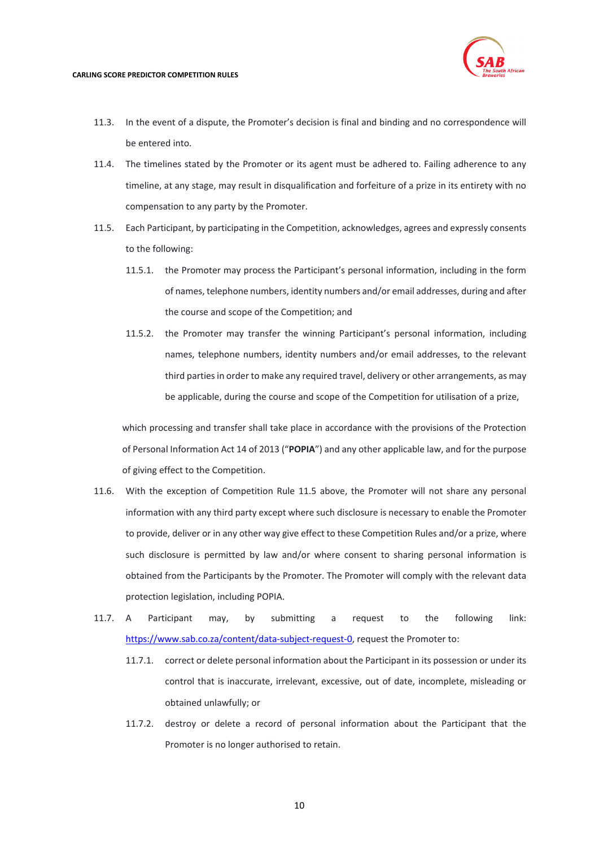

- 11.3. In the event of a dispute, the Promoter's decision is final and binding and no correspondence will be entered into.
- 11.4. The timelines stated by the Promoter or its agent must be adhered to. Failing adherence to any timeline, at any stage, may result in disqualification and forfeiture of a prize in its entirety with no compensation to any party by the Promoter.
- <span id="page-9-0"></span>11.5. Each Participant, by participating in the Competition, acknowledges, agrees and expressly consents to the following:
	- 11.5.1. the Promoter may process the Participant's personal information, including in the form of names, telephone numbers, identity numbers and/or email addresses, during and after the course and scope of the Competition; and
	- 11.5.2. the Promoter may transfer the winning Participant's personal information, including names, telephone numbers, identity numbers and/or email addresses, to the relevant third parties in order to make any required travel, delivery or other arrangements, as may be applicable, during the course and scope of the Competition for utilisation of a prize,

which processing and transfer shall take place in accordance with the provisions of the Protection of Personal Information Act 14 of 2013 ("**POPIA**") and any other applicable law, and for the purpose of giving effect to the Competition.

- 11.6. With the exception of Competition Rule [11.5](#page-9-0) above, the Promoter will not share any personal information with any third party except where such disclosure is necessary to enable the Promoter to provide, deliver or in any other way give effect to these Competition Rules and/or a prize, where such disclosure is permitted by law and/or where consent to sharing personal information is obtained from the Participants by the Promoter. The Promoter will comply with the relevant data protection legislation, including POPIA.
- 11.7. A Participant may, by submitting a request to the following link: [https://www.sab.co.za/content/data-subject-request-0,](https://www.sab.co.za/content/data-subject-request-0) request the Promoter to:
	- 11.7.1. correct or delete personal information about the Participant in its possession or under its control that is inaccurate, irrelevant, excessive, out of date, incomplete, misleading or obtained unlawfully; or
	- 11.7.2. destroy or delete a record of personal information about the Participant that the Promoter is no longer authorised to retain.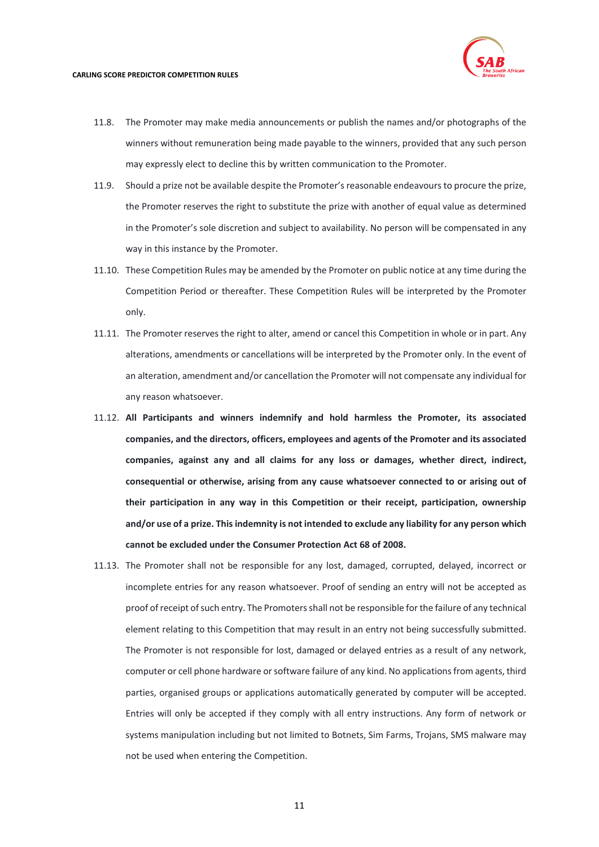

- 11.8. The Promoter may make media announcements or publish the names and/or photographs of the winners without remuneration being made payable to the winners, provided that any such person may expressly elect to decline this by written communication to the Promoter.
- 11.9. Should a prize not be available despite the Promoter's reasonable endeavours to procure the prize, the Promoter reserves the right to substitute the prize with another of equal value as determined in the Promoter's sole discretion and subject to availability. No person will be compensated in any way in this instance by the Promoter.
- 11.10. These Competition Rules may be amended by the Promoter on public notice at any time during the Competition Period or thereafter. These Competition Rules will be interpreted by the Promoter only.
- 11.11. The Promoter reserves the right to alter, amend or cancel this Competition in whole or in part. Any alterations, amendments or cancellations will be interpreted by the Promoter only. In the event of an alteration, amendment and/or cancellation the Promoter will not compensate any individual for any reason whatsoever.
- 11.12. **All Participants and winners indemnify and hold harmless the Promoter, its associated companies, and the directors, officers, employees and agents of the Promoter and its associated companies, against any and all claims for any loss or damages, whether direct, indirect, consequential or otherwise, arising from any cause whatsoever connected to or arising out of their participation in any way in this Competition or their receipt, participation, ownership and/or use of a prize. This indemnity is not intended to exclude any liability for any person which cannot be excluded under the Consumer Protection Act 68 of 2008.**
- 11.13. The Promoter shall not be responsible for any lost, damaged, corrupted, delayed, incorrect or incomplete entries for any reason whatsoever. Proof of sending an entry will not be accepted as proof of receipt of such entry. The Promoters shall not be responsible for the failure of any technical element relating to this Competition that may result in an entry not being successfully submitted. The Promoter is not responsible for lost, damaged or delayed entries as a result of any network, computer or cell phone hardware or software failure of any kind. No applications from agents, third parties, organised groups or applications automatically generated by computer will be accepted. Entries will only be accepted if they comply with all entry instructions. Any form of network or systems manipulation including but not limited to Botnets, Sim Farms, Trojans, SMS malware may not be used when entering the Competition.